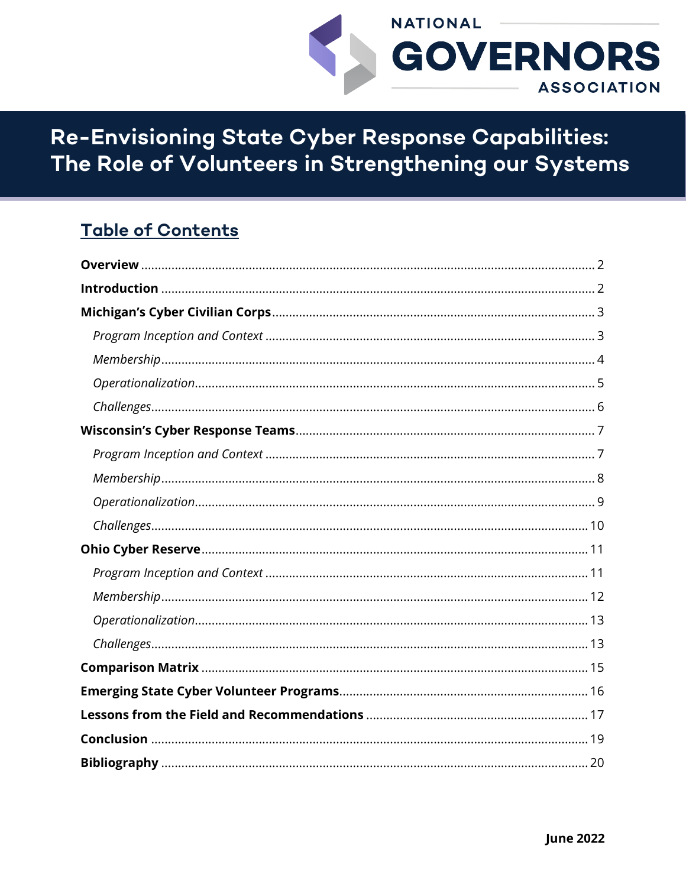

Re-Envisioning State Cyber Response Capabilities: The Role of Volunteers in Strengthening our Systems

# **Table of Contents**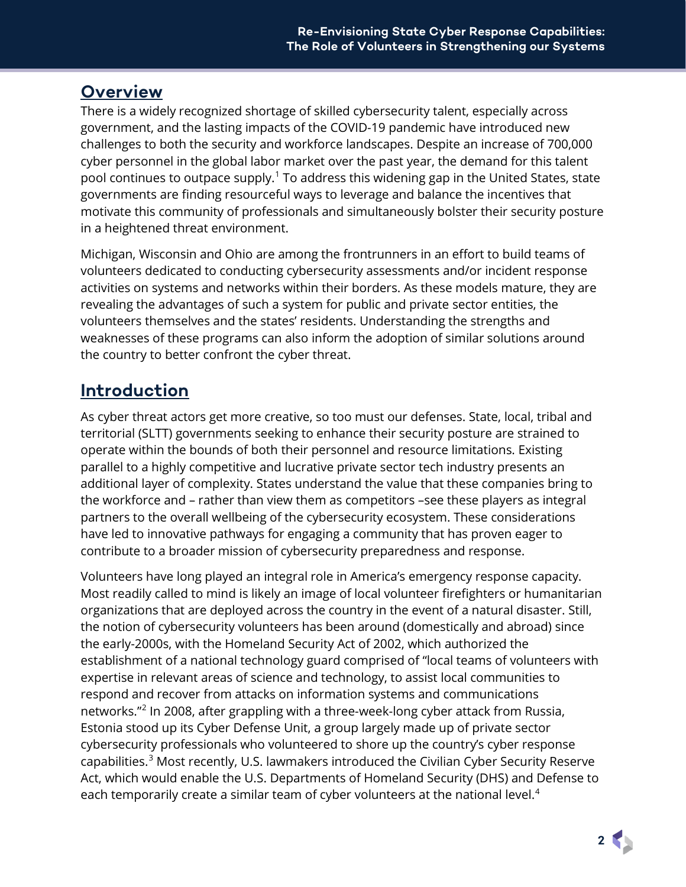### <span id="page-1-0"></span>**Overview**

There is a widely recognized shortage of skilled cybersecurity talent, especially across government, and the lasting impacts of the COVID-19 pandemic have introduced new challenges to both the security and workforce landscapes. Despite an increase of 700,000 cyber personnel in the global labor market over the past year, the demand for this talent pool continues to outpace supply. [1](#page-22-0) To address this widening gap in the United States, state governments are finding resourceful ways to leverage and balance the incentives that motivate this community of professionals and simultaneously bolster their security posture in a heightened threat environment.

Michigan, Wisconsin and Ohio are among the frontrunners in an effort to build teams of volunteers dedicated to conducting cybersecurity assessments and/or incident response activities on systems and networks within their borders. As these models mature, they are revealing the advantages of such a system for public and private sector entities, the volunteers themselves and the states' residents. Understanding the strengths and weaknesses of these programs can also inform the adoption of similar solutions around the country to better confront the cyber threat.

# <span id="page-1-1"></span>**Introduction**

As cyber threat actors get more creative, so too must our defenses. State, local, tribal and territorial (SLTT) governments seeking to enhance their security posture are strained to operate within the bounds of both their personnel and resource limitations. Existing parallel to a highly competitive and lucrative private sector tech industry presents an additional layer of complexity. States understand the value that these companies bring to the workforce and – rather than view them as competitors –see these players as integral partners to the overall wellbeing of the cybersecurity ecosystem. These considerations have led to innovative pathways for engaging a community that has proven eager to contribute to a broader mission of cybersecurity preparedness and response.

Volunteers have long played an integral role in America's emergency response capacity. Most readily called to mind is likely an image of local volunteer firefighters or humanitarian organizations that are deployed across the country in the event of a natural disaster. Still, the notion of cybersecurity volunteers has been around (domestically and abroad) since the early-2000s, with the Homeland Security Act of 2002, which authorized the establishment of a national technology guard comprised of "local teams of volunteers with expertise in relevant areas of science and technology, to assist local communities to respond and recover from attacks on information systems and communications networks."[2](#page-22-1) In 2008, after grappling with a three-week-long cyber attack from Russia, Estonia stood up its Cyber Defense Unit, a group largely made up of private sector cybersecurity professionals who volunteered to shore up the country's cyber response capabilities.<sup>[3](#page-22-2)</sup> Most recently, U.S. lawmakers introduced the Civilian Cyber Security Reserve Act, which would enable the U.S. Departments of Homeland Security (DHS) and Defense to each temporarily create a similar team of cyber volunteers at the national level.<sup>[4](#page-22-3)</sup>

**2**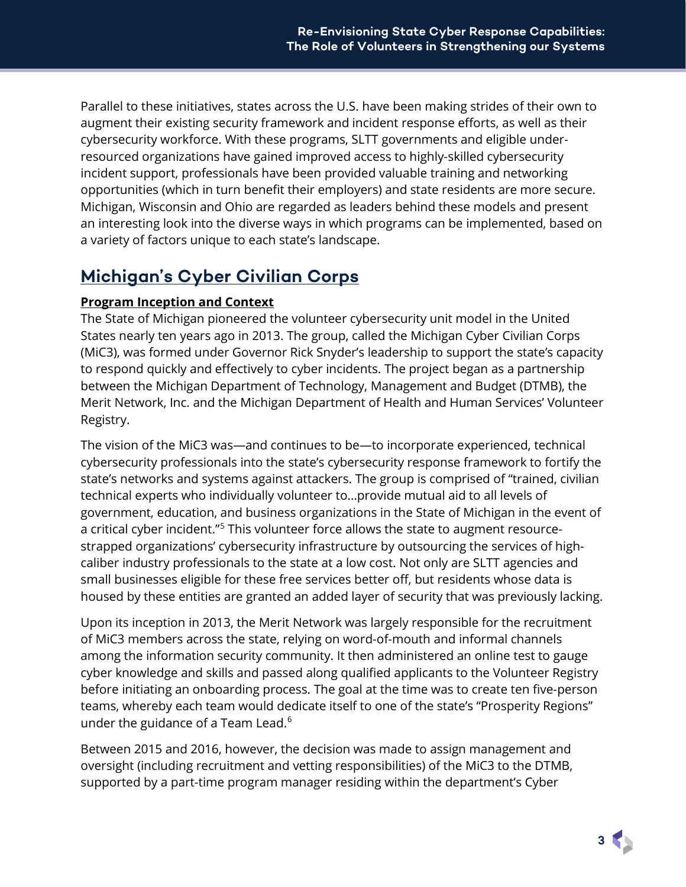Parallel to these initiatives, states across the U.S. have been making strides of their own to augment their existing security framework and incident response efforts, as well as their cybersecurity workforce. With these programs, SLTT governments and eligible underresourced organizations have gained improved access to highly-skilled cybersecurity incident support, professionals have been provided valuable training and networking opportunities (which in turn benefit their employers) and state residents are more secure. Michigan, Wisconsin and Ohio are regarded as leaders behind these models and present an interesting look into the diverse ways in which programs can be implemented, based on a variety of factors unique to each state's landscape.

# <span id="page-2-0"></span>**Michigan's Cyber Civilian Corps**

### <span id="page-2-1"></span>**Program Inception and Context**

The State of Michigan pioneered the volunteer cybersecurity unit model in the United States nearly ten years ago in 2013. The group, called the Michigan Cyber Civilian Corps (MiC3), was formed under Governor Rick Snyder's leadership to support the state's capacity to respond quickly and effectively to cyber incidents. The project began as a partnership between the Michigan Department of Technology, Management and Budget (DTMB), the Merit Network, Inc. and the Michigan Department of Health and Human Services' Volunteer Registry.

The vision of the MiC3 was—and continues to be—to incorporate experienced, technical cybersecurity professionals into the state's cybersecurity response framework to fortify the state's networks and systems against attackers. The group is comprised of "trained, civilian technical experts who individually volunteer to…provide mutual aid to all levels of government, education, and business organizations in the State of Michigan in the event of a critical cyber incident."<sup>[5](#page-22-4)</sup> This volunteer force allows the state to augment resourcestrapped organizations' cybersecurity infrastructure by outsourcing the services of highcaliber industry professionals to the state at a low cost. Not only are SLTT agencies and small businesses eligible for these free services better off, but residents whose data is housed by these entities are granted an added layer of security that was previously lacking.

Upon its inception in 2013, the Merit Network was largely responsible for the recruitment of MiC3 members across the state, relying on word-of-mouth and informal channels among the information security community. It then administered an online test to gauge cyber knowledge and skills and passed along qualified applicants to the Volunteer Registry before initiating an onboarding process. The goal at the time was to create ten five-person teams, whereby each team would dedicate itself to one of the state's "Prosperity Regions" under the guidance of a Team Lead.<sup>[6](#page-22-5)</sup>

Between 2015 and 2016, however, the decision was made to assign management and oversight (including recruitment and vetting responsibilities) of the MiC3 to the DTMB, supported by a part-time program manager residing within the department's Cyber

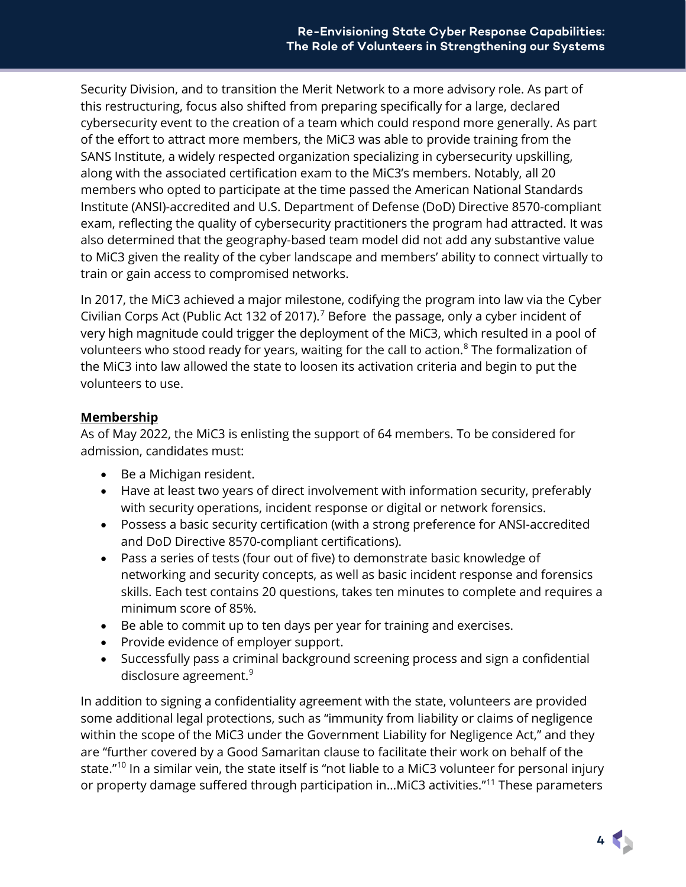Security Division, and to transition the Merit Network to a more advisory role. As part of this restructuring, focus also shifted from preparing specifically for a large, declared cybersecurity event to the creation of a team which could respond more generally. As part of the effort to attract more members, the MiC3 was able to provide training from the SANS Institute, a widely respected organization specializing in cybersecurity upskilling, along with the associated certification exam to the MiC3's members. Notably, all 20 members who opted to participate at the time passed the American National Standards Institute (ANSI)-accredited and U.S. Department of Defense (DoD) Directive 8570-compliant exam, reflecting the quality of cybersecurity practitioners the program had attracted. It was also determined that the geography-based team model did not add any substantive value to MiC3 given the reality of the cyber landscape and members' ability to connect virtually to train or gain access to compromised networks.

In 2017, the MiC3 achieved a major milestone, codifying the program into law via the Cyber Civilian Corps Act (Public Act 132 of 201[7](#page-22-6)).<sup>7</sup> Before the passage, only a cyber incident of very high magnitude could trigger the deployment of the MiC3, which resulted in a pool of volunteers who stood ready for years, waiting for the call to action.<sup>[8](#page-22-7)</sup> The formalization of the MiC3 into law allowed the state to loosen its activation criteria and begin to put the volunteers to use.

### <span id="page-3-0"></span>**Membership**

As of May 2022, the MiC3 is enlisting the support of 64 members. To be considered for admission, candidates must:

- Be a Michigan resident.
- Have at least two years of direct involvement with information security, preferably with security operations, incident response or digital or network forensics.
- Possess a basic security certification (with a strong preference for ANSI-accredited and DoD Directive 8570-compliant certifications).
- Pass a series of tests (four out of five) to demonstrate basic knowledge of networking and security concepts, as well as basic incident response and forensics skills. Each test contains 20 questions, takes ten minutes to complete and requires a minimum score of 85%.
- Be able to commit up to ten days per year for training and exercises.
- Provide evidence of employer support.
- Successfully pass a criminal background screening process and sign a confidential disclosure agreement.<sup>[9](#page-22-8)</sup>

In addition to signing a confidentiality agreement with the state, volunteers are provided some additional legal protections, such as "immunity from liability or claims of negligence within the scope of the MiC3 under the Government Liability for Negligence Act," and they are "further covered by a Good Samaritan clause to facilitate their work on behalf of the state."<sup>[10](#page-22-9)</sup> In a similar vein, the state itself is "not liable to a MiC3 volunteer for personal injury or property damage suffered through participation in...MiC3 activities."<sup>[11](#page-22-10)</sup> These parameters

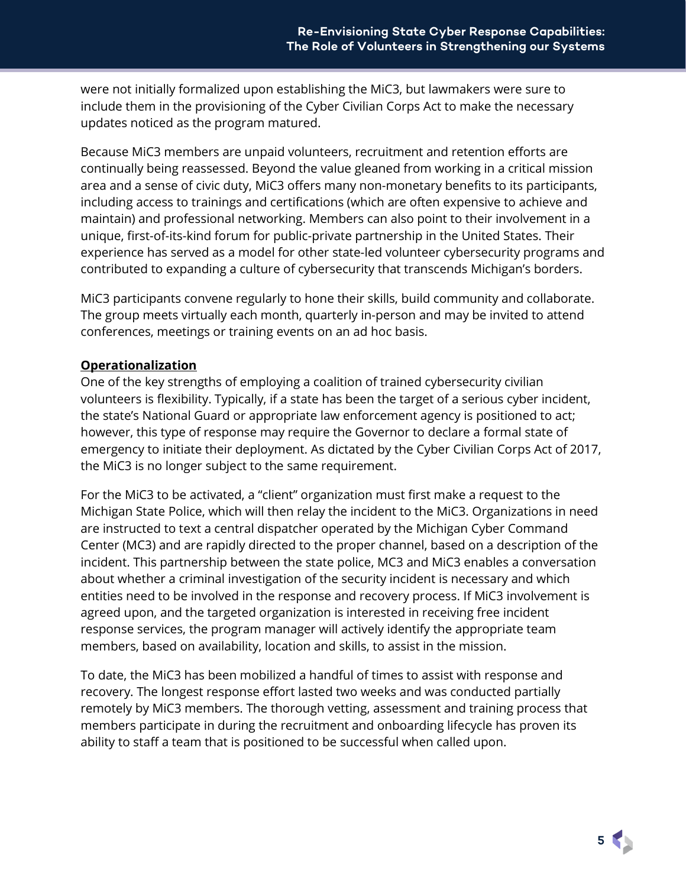were not initially formalized upon establishing the MiC3, but lawmakers were sure to include them in the provisioning of the Cyber Civilian Corps Act to make the necessary updates noticed as the program matured.

Because MiC3 members are unpaid volunteers, recruitment and retention efforts are continually being reassessed. Beyond the value gleaned from working in a critical mission area and a sense of civic duty, MiC3 offers many non-monetary benefits to its participants, including access to trainings and certifications (which are often expensive to achieve and maintain) and professional networking. Members can also point to their involvement in a unique, first-of-its-kind forum for public-private partnership in the United States. Their experience has served as a model for other state-led volunteer cybersecurity programs and contributed to expanding a culture of cybersecurity that transcends Michigan's borders.

MiC3 participants convene regularly to hone their skills, build community and collaborate. The group meets virtually each month, quarterly in-person and may be invited to attend conferences, meetings or training events on an ad hoc basis.

#### <span id="page-4-0"></span>**Operationalization**

One of the key strengths of employing a coalition of trained cybersecurity civilian volunteers is flexibility. Typically, if a state has been the target of a serious cyber incident, the state's National Guard or appropriate law enforcement agency is positioned to act; however, this type of response may require the Governor to declare a formal state of emergency to initiate their deployment. As dictated by the Cyber Civilian Corps Act of 2017, the MiC3 is no longer subject to the same requirement.

For the MiC3 to be activated, a "client" organization must first make a request to the Michigan State Police, which will then relay the incident to the MiC3. Organizations in need are instructed to text a central dispatcher operated by the Michigan Cyber Command Center (MC3) and are rapidly directed to the proper channel, based on a description of the incident. This partnership between the state police, MC3 and MiC3 enables a conversation about whether a criminal investigation of the security incident is necessary and which entities need to be involved in the response and recovery process. If MiC3 involvement is agreed upon, and the targeted organization is interested in receiving free incident response services, the program manager will actively identify the appropriate team members, based on availability, location and skills, to assist in the mission.

<span id="page-4-1"></span>To date, the MiC3 has been mobilized a handful of times to assist with response and recovery. The longest response effort lasted two weeks and was conducted partially remotely by MiC3 members. The thorough vetting, assessment and training process that members participate in during the recruitment and onboarding lifecycle has proven its ability to staff a team that is positioned to be successful when called upon.

**5**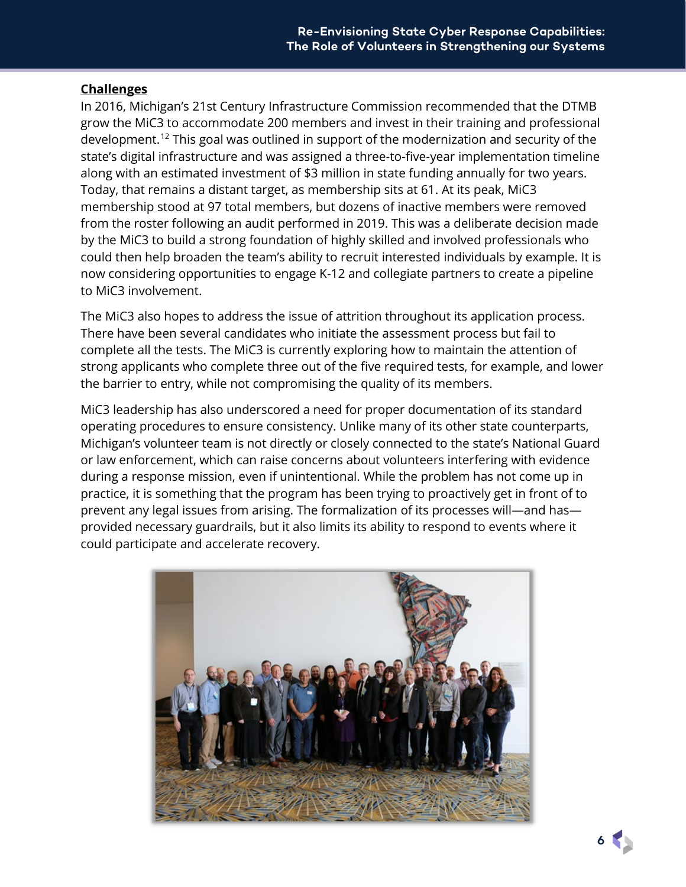#### **Challenges**

In 2016, Michigan's 21st Century Infrastructure Commission recommended that the DTMB grow the MiC3 to accommodate 200 members and invest in their training and professional development.<sup>[12](#page-22-11)</sup> This goal was outlined in support of the modernization and security of the state's digital infrastructure and was assigned a three-to-five-year implementation timeline along with an estimated investment of \$3 million in state funding annually for two years. Today, that remains a distant target, as membership sits at 61. At its peak, MiC3 membership stood at 97 total members, but dozens of inactive members were removed from the roster following an audit performed in 2019. This was a deliberate decision made by the MiC3 to build a strong foundation of highly skilled and involved professionals who could then help broaden the team's ability to recruit interested individuals by example. It is now considering opportunities to engage K-12 and collegiate partners to create a pipeline to MiC3 involvement.

The MiC3 also hopes to address the issue of attrition throughout its application process. There have been several candidates who initiate the assessment process but fail to complete all the tests. The MiC3 is currently exploring how to maintain the attention of strong applicants who complete three out of the five required tests, for example, and lower the barrier to entry, while not compromising the quality of its members.

MiC3 leadership has also underscored a need for proper documentation of its standard operating procedures to ensure consistency. Unlike many of its other state counterparts, Michigan's volunteer team is not directly or closely connected to the state's National Guard or law enforcement, which can raise concerns about volunteers interfering with evidence during a response mission, even if unintentional. While the problem has not come up in practice, it is something that the program has been trying to proactively get in front of to prevent any legal issues from arising. The formalization of its processes will—and has provided necessary guardrails, but it also limits its ability to respond to events where it could participate and accelerate recovery.



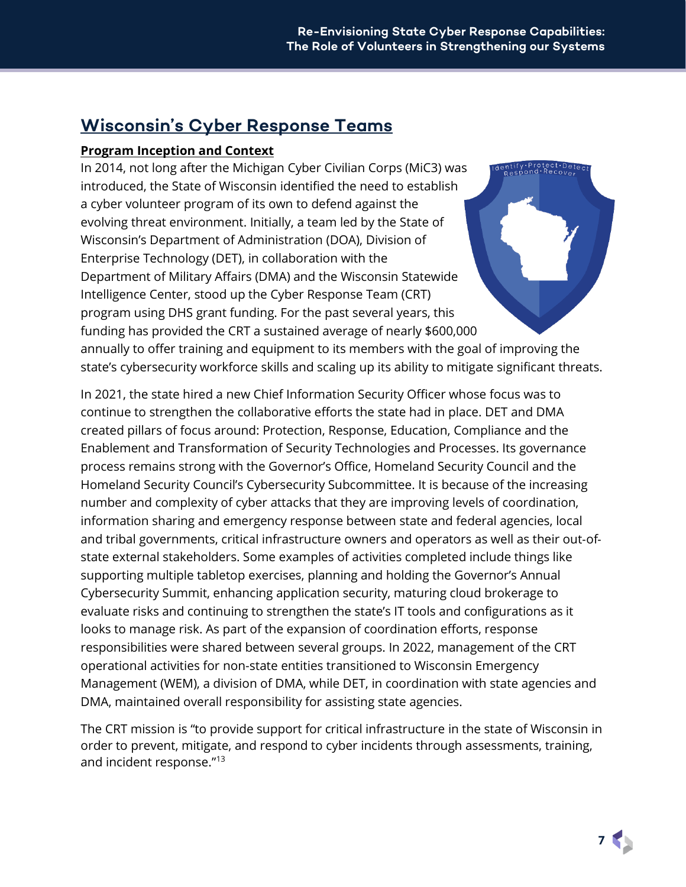# <span id="page-6-0"></span>**Wisconsin's Cyber Response Teams**

### <span id="page-6-1"></span>**Program Inception and Context**

In 2014, not long after the Michigan Cyber Civilian Corps (MiC3) was ntify•Protect•De<br><sub>Respond</sub>•Reco<sub>ve</sub> introduced, the State of Wisconsin identified the need to establish a cyber volunteer program of its own to defend against the evolving threat environment. Initially, a team led by the State of Wisconsin's Department of Administration (DOA), Division of Enterprise Technology (DET), in collaboration with the Department of Military Affairs (DMA) and the Wisconsin Statewide Intelligence Center, stood up the Cyber Response Team (CRT) program using DHS grant funding. For the past several years, this funding has provided the CRT a sustained average of nearly \$600,000 annually to offer training and equipment to its members with the goal of improving the state's cybersecurity workforce skills and scaling up its ability to mitigate significant threats.

In 2021, the state hired a new Chief Information Security Officer whose focus was to continue to strengthen the collaborative efforts the state had in place. DET and DMA created pillars of focus around: Protection, Response, Education, Compliance and the Enablement and Transformation of Security Technologies and Processes. Its governance process remains strong with the Governor's Office, Homeland Security Council and the Homeland Security Council's Cybersecurity Subcommittee. It is because of the increasing number and complexity of cyber attacks that they are improving levels of coordination, information sharing and emergency response between state and federal agencies, local and tribal governments, critical infrastructure owners and operators as well as their out‐of‐ state external stakeholders. Some examples of activities completed include things like supporting multiple tabletop exercises, planning and holding the Governor's Annual Cybersecurity Summit, enhancing application security, maturing cloud brokerage to evaluate risks and continuing to strengthen the state's IT tools and configurations as it looks to manage risk. As part of the expansion of coordination efforts, response responsibilities were shared between several groups. In 2022, management of the CRT operational activities for non-state entities transitioned to Wisconsin Emergency Management (WEM), a division of DMA, while DET, in coordination with state agencies and DMA, maintained overall responsibility for assisting state agencies.

The CRT mission is "to provide support for critical infrastructure in the state of Wisconsin in order to prevent, mitigate, and respond to cyber incidents through assessments, training, and incident response."[13](#page-22-12)

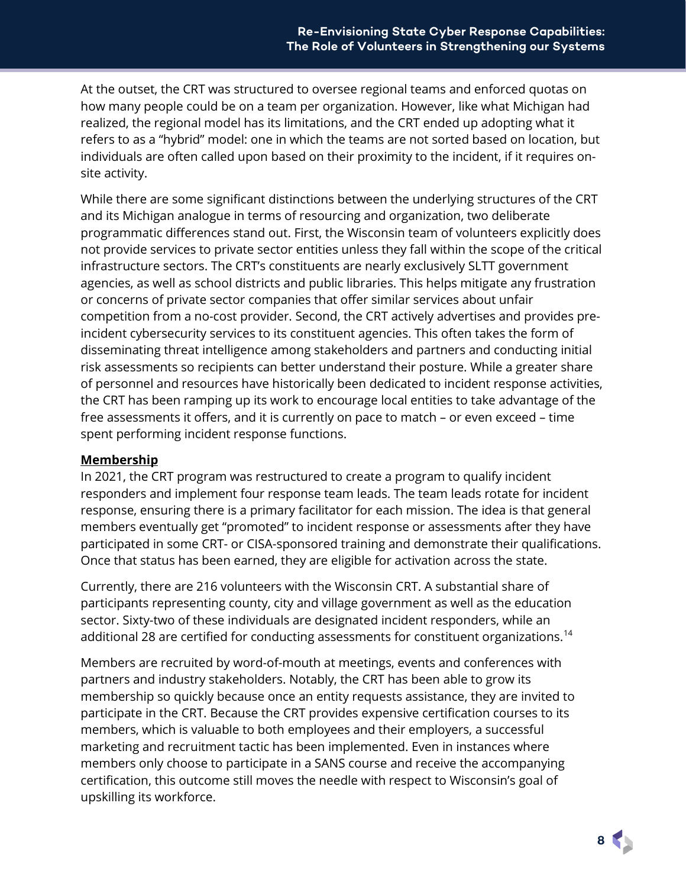At the outset, the CRT was structured to oversee regional teams and enforced quotas on how many people could be on a team per organization. However, like what Michigan had realized, the regional model has its limitations, and the CRT ended up adopting what it refers to as a "hybrid" model: one in which the teams are not sorted based on location, but individuals are often called upon based on their proximity to the incident, if it requires onsite activity.

While there are some significant distinctions between the underlying structures of the CRT and its Michigan analogue in terms of resourcing and organization, two deliberate programmatic differences stand out. First, the Wisconsin team of volunteers explicitly does not provide services to private sector entities unless they fall within the scope of the critical infrastructure sectors. The CRT's constituents are nearly exclusively SLTT government agencies, as well as school districts and public libraries. This helps mitigate any frustration or concerns of private sector companies that offer similar services about unfair competition from a no-cost provider. Second, the CRT actively advertises and provides preincident cybersecurity services to its constituent agencies. This often takes the form of disseminating threat intelligence among stakeholders and partners and conducting initial risk assessments so recipients can better understand their posture. While a greater share of personnel and resources have historically been dedicated to incident response activities, the CRT has been ramping up its work to encourage local entities to take advantage of the free assessments it offers, and it is currently on pace to match – or even exceed – time spent performing incident response functions.

#### <span id="page-7-0"></span>**Membership**

In 2021, the CRT program was restructured to create a program to qualify incident responders and implement four response team leads. The team leads rotate for incident response, ensuring there is a primary facilitator for each mission. The idea is that general members eventually get "promoted" to incident response or assessments after they have participated in some CRT- or CISA-sponsored training and demonstrate their qualifications. Once that status has been earned, they are eligible for activation across the state.

Currently, there are 216 volunteers with the Wisconsin CRT. A substantial share of participants representing county, city and village government as well as the education sector. Sixty-two of these individuals are designated incident responders, while an additional 28 are certified for conducting assessments for constituent organizations.<sup>[14](#page-22-13)</sup>

Members are recruited by word-of-mouth at meetings, events and conferences with partners and industry stakeholders. Notably, the CRT has been able to grow its membership so quickly because once an entity requests assistance, they are invited to participate in the CRT. Because the CRT provides expensive certification courses to its members, which is valuable to both employees and their employers, a successful marketing and recruitment tactic has been implemented. Even in instances where members only choose to participate in a SANS course and receive the accompanying certification, this outcome still moves the needle with respect to Wisconsin's goal of upskilling its workforce.

**8**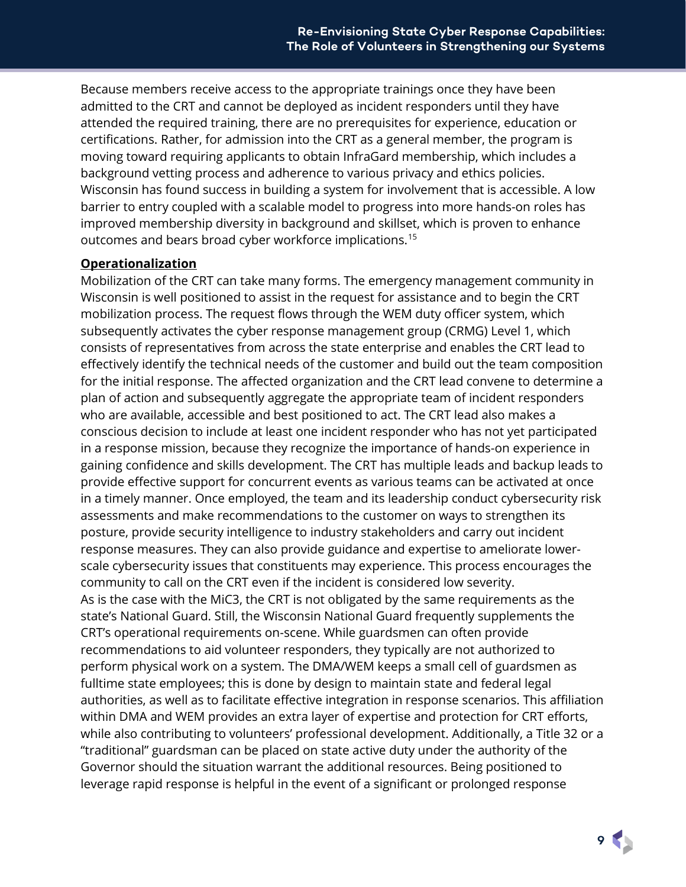Because members receive access to the appropriate trainings once they have been admitted to the CRT and cannot be deployed as incident responders until they have attended the required training, there are no prerequisites for experience, education or certifications. Rather, for admission into the CRT as a general member, the program is moving toward requiring applicants to obtain InfraGard membership, which includes a background vetting process and adherence to various privacy and ethics policies. Wisconsin has found success in building a system for involvement that is accessible. A low barrier to entry coupled with a scalable model to progress into more hands-on roles has improved membership diversity in background and skillset, which is proven to enhance outcomes and bears broad cyber workforce implications.<sup>[15](#page-22-14)</sup>

#### <span id="page-8-0"></span>**Operationalization**

Mobilization of the CRT can take many forms. The emergency management community in Wisconsin is well positioned to assist in the request for assistance and to begin the CRT mobilization process. The request flows through the WEM duty officer system, which subsequently activates the cyber response management group (CRMG) Level 1, which consists of representatives from across the state enterprise and enables the CRT lead to effectively identify the technical needs of the customer and build out the team composition for the initial response. The affected organization and the CRT lead convene to determine a plan of action and subsequently aggregate the appropriate team of incident responders who are available, accessible and best positioned to act. The CRT lead also makes a conscious decision to include at least one incident responder who has not yet participated in a response mission, because they recognize the importance of hands-on experience in gaining confidence and skills development. The CRT has multiple leads and backup leads to provide effective support for concurrent events as various teams can be activated at once in a timely manner. Once employed, the team and its leadership conduct cybersecurity risk assessments and make recommendations to the customer on ways to strengthen its posture, provide security intelligence to industry stakeholders and carry out incident response measures. They can also provide guidance and expertise to ameliorate lowerscale cybersecurity issues that constituents may experience. This process encourages the community to call on the CRT even if the incident is considered low severity. As is the case with the MiC3, the CRT is not obligated by the same requirements as the state's National Guard. Still, the Wisconsin National Guard frequently supplements the CRT's operational requirements on-scene. While guardsmen can often provide recommendations to aid volunteer responders, they typically are not authorized to perform physical work on a system. The DMA/WEM keeps a small cell of guardsmen as fulltime state employees; this is done by design to maintain state and federal legal authorities, as well as to facilitate effective integration in response scenarios. This affiliation within DMA and WEM provides an extra layer of expertise and protection for CRT efforts, while also contributing to volunteers' professional development. Additionally, a Title 32 or a "traditional" guardsman can be placed on state active duty under the authority of the Governor should the situation warrant the additional resources. Being positioned to leverage rapid response is helpful in the event of a significant or prolonged response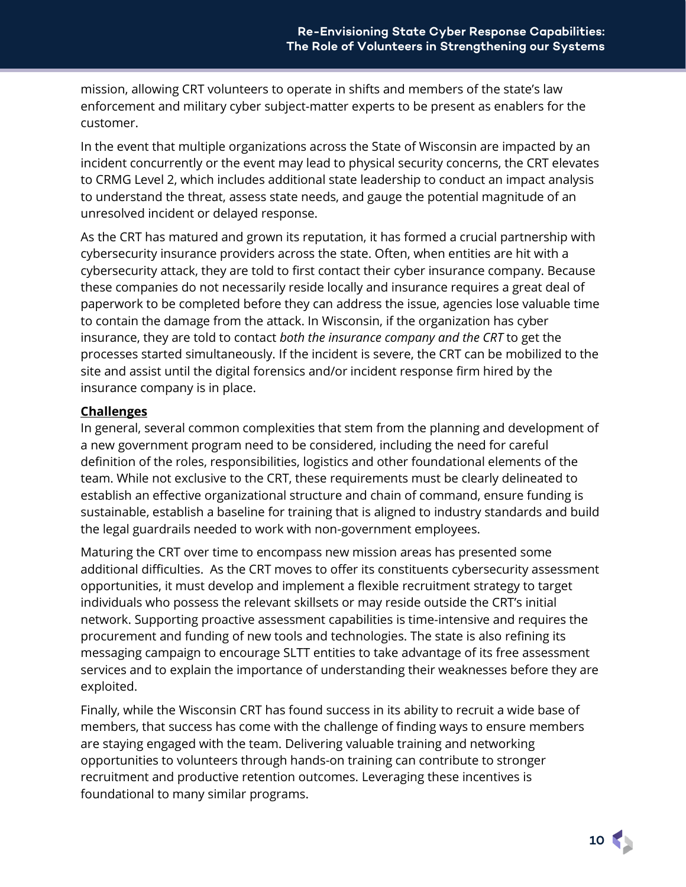mission, allowing CRT volunteers to operate in shifts and members of the state's law enforcement and military cyber subject-matter experts to be present as enablers for the customer.

In the event that multiple organizations across the State of Wisconsin are impacted by an incident concurrently or the event may lead to physical security concerns, the CRT elevates to CRMG Level 2, which includes additional state leadership to conduct an impact analysis to understand the threat, assess state needs, and gauge the potential magnitude of an unresolved incident or delayed response.

As the CRT has matured and grown its reputation, it has formed a crucial partnership with cybersecurity insurance providers across the state. Often, when entities are hit with a cybersecurity attack, they are told to first contact their cyber insurance company. Because these companies do not necessarily reside locally and insurance requires a great deal of paperwork to be completed before they can address the issue, agencies lose valuable time to contain the damage from the attack. In Wisconsin, if the organization has cyber insurance, they are told to contact *both the insurance company and the CRT* to get the processes started simultaneously. If the incident is severe, the CRT can be mobilized to the site and assist until the digital forensics and/or incident response firm hired by the insurance company is in place.

#### <span id="page-9-0"></span>**Challenges**

In general, several common complexities that stem from the planning and development of a new government program need to be considered, including the need for careful definition of the roles, responsibilities, logistics and other foundational elements of the team. While not exclusive to the CRT, these requirements must be clearly delineated to establish an effective organizational structure and chain of command, ensure funding is sustainable, establish a baseline for training that is aligned to industry standards and build the legal guardrails needed to work with non-government employees.

Maturing the CRT over time to encompass new mission areas has presented some additional difficulties. As the CRT moves to offer its constituents cybersecurity assessment opportunities, it must develop and implement a flexible recruitment strategy to target individuals who possess the relevant skillsets or may reside outside the CRT's initial network. Supporting proactive assessment capabilities is time-intensive and requires the procurement and funding of new tools and technologies. The state is also refining its messaging campaign to encourage SLTT entities to take advantage of its free assessment services and to explain the importance of understanding their weaknesses before they are exploited.

Finally, while the Wisconsin CRT has found success in its ability to recruit a wide base of members, that success has come with the challenge of finding ways to ensure members are staying engaged with the team. Delivering valuable training and networking opportunities to volunteers through hands-on training can contribute to stronger recruitment and productive retention outcomes. Leveraging these incentives is foundational to many similar programs.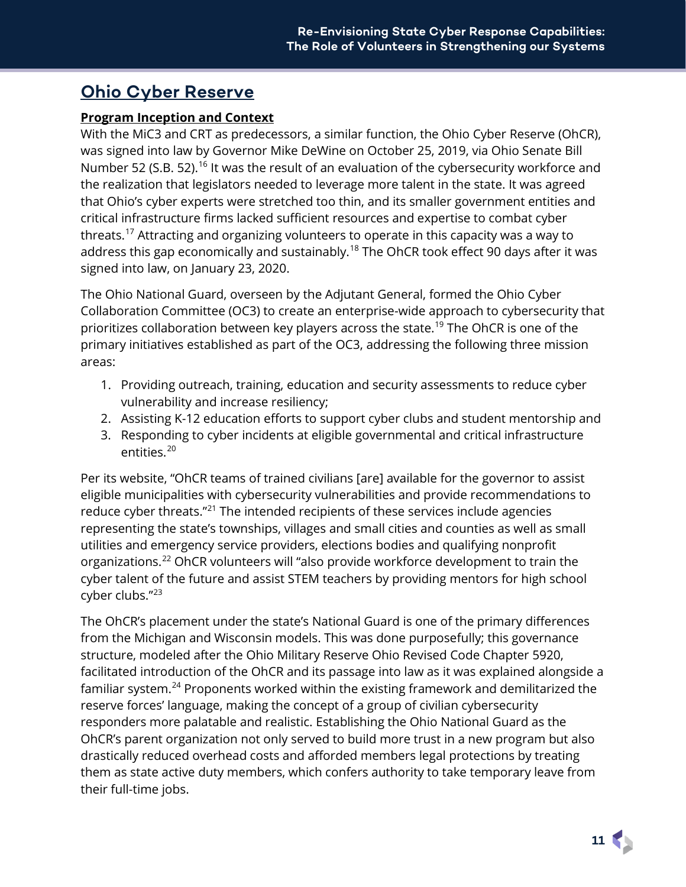## <span id="page-10-0"></span>**Ohio Cyber Reserve**

### <span id="page-10-1"></span>**Program Inception and Context**

With the MiC3 and CRT as predecessors, a similar function, the Ohio Cyber Reserve (OhCR), was signed into law by Governor Mike DeWine on October 25, 2019, via Ohio Senate Bill Number 52 (S.B. 52).<sup>[16](#page-22-15)</sup> It was the result of an evaluation of the cybersecurity workforce and the realization that legislators needed to leverage more talent in the state. It was agreed that Ohio's cyber experts were stretched too thin, and its smaller government entities and critical infrastructure firms lacked sufficient resources and expertise to combat cyber threats.<sup>[17](#page-22-16)</sup> Attracting and organizing volunteers to operate in this capacity was a way to address this gap economically and sustainably.<sup>[18](#page-22-17)</sup> The OhCR took effect 90 days after it was signed into law, on January 23, 2020.

The Ohio National Guard, overseen by the Adjutant General, formed the Ohio Cyber Collaboration Committee (OC3) to create an enterprise-wide approach to cybersecurity that prioritizes collaboration between key players across the state.[19](#page-22-18) The OhCR is one of the primary initiatives established as part of the OC3, addressing the following three mission areas:

- 1. Providing outreach, training, education and security assessments to reduce cyber vulnerability and increase resiliency;
- 2. Assisting K-12 education efforts to support cyber clubs and student mentorship and
- 3. Responding to cyber incidents at eligible governmental and critical infrastructure entities.<sup>[20](#page-22-19)</sup>

Per its website, "OhCR teams of trained civilians [are] available for the governor to assist eligible municipalities with cybersecurity vulnerabilities and provide recommendations to reduce cyber threats."[21](#page-22-20) The intended recipients of these services include agencies representing the state's townships, villages and small cities and counties as well as small utilities and emergency service providers, elections bodies and qualifying nonprofit organizations.[22](#page-22-21) OhCR volunteers will "also provide workforce development to train the cyber talent of the future and assist STEM teachers by providing mentors for high school cyber clubs."[23](#page-22-22)

The OhCR's placement under the state's National Guard is one of the primary differences from the Michigan and Wisconsin models. This was done purposefully; this governance structure, modeled after the Ohio Military Reserve Ohio Revised Code Chapter 5920, facilitated introduction of the OhCR and its passage into law as it was explained alongside a familiar system.<sup>[24](#page-22-23)</sup> Proponents worked within the existing framework and demilitarized the reserve forces' language, making the concept of a group of civilian cybersecurity responders more palatable and realistic. Establishing the Ohio National Guard as the OhCR's parent organization not only served to build more trust in a new program but also drastically reduced overhead costs and afforded members legal protections by treating them as state active duty members, which confers authority to take temporary leave from their full-time jobs.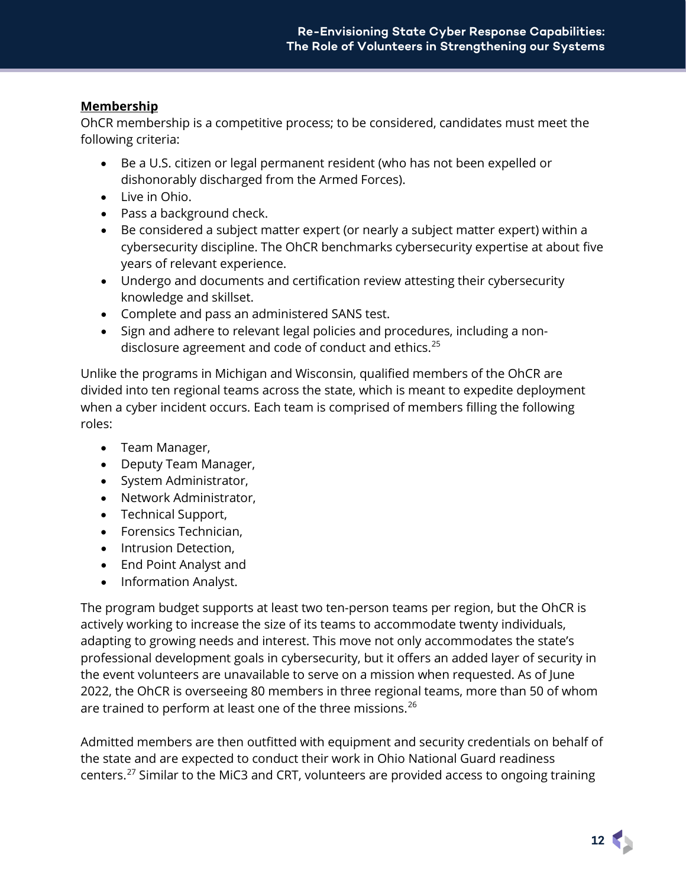### <span id="page-11-0"></span>**Membership**

OhCR membership is a competitive process; to be considered, candidates must meet the following criteria:

- Be a U.S. citizen or legal permanent resident (who has not been expelled or dishonorably discharged from the Armed Forces).
- Live in Ohio.
- Pass a background check.
- Be considered a subject matter expert (or nearly a subject matter expert) within a cybersecurity discipline. The OhCR benchmarks cybersecurity expertise at about five years of relevant experience.
- Undergo and documents and certification review attesting their cybersecurity knowledge and skillset.
- Complete and pass an administered SANS test.
- Sign and adhere to relevant legal policies and procedures, including a non-disclosure agreement and code of conduct and ethics.<sup>[25](#page-22-24)</sup>

Unlike the programs in Michigan and Wisconsin, qualified members of the OhCR are divided into ten regional teams across the state, which is meant to expedite deployment when a cyber incident occurs. Each team is comprised of members filling the following roles:

- Team Manager,
- Deputy Team Manager,
- System Administrator,
- Network Administrator,
- Technical Support,
- Forensics Technician,
- Intrusion Detection,
- End Point Analyst and
- Information Analyst.

The program budget supports at least two ten-person teams per region, but the OhCR is actively working to increase the size of its teams to accommodate twenty individuals, adapting to growing needs and interest. This move not only accommodates the state's professional development goals in cybersecurity, but it offers an added layer of security in the event volunteers are unavailable to serve on a mission when requested. As of June 2022, the OhCR is overseeing 80 members in three regional teams, more than 50 of whom are trained to perform at least one of the three missions.<sup>[26](#page-22-25)</sup>

Admitted members are then outfitted with equipment and security credentials on behalf of the state and are expected to conduct their work in Ohio National Guard readiness centers.[27](#page-22-26) Similar to the MiC3 and CRT, volunteers are provided access to ongoing training

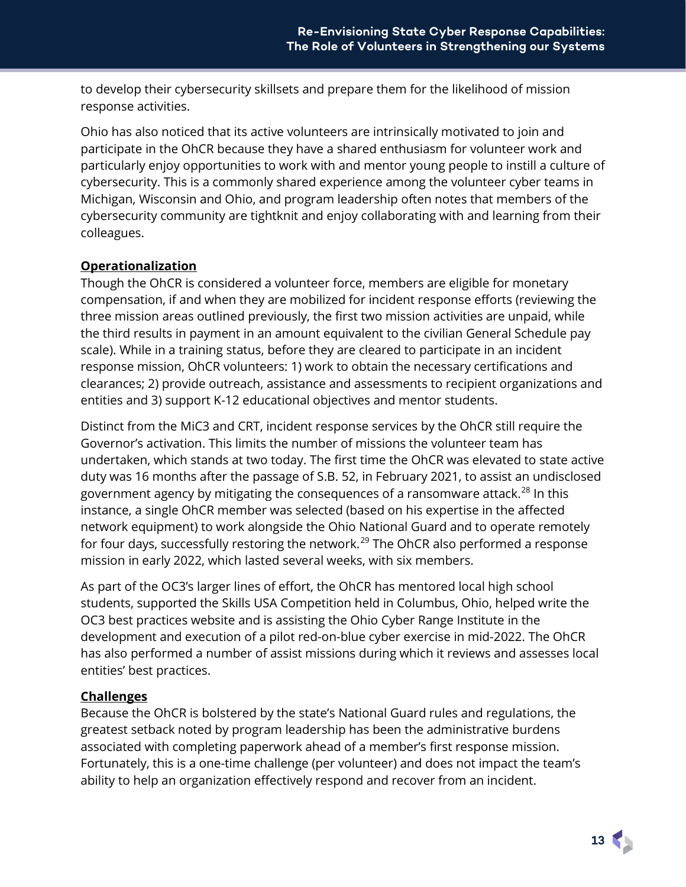to develop their cybersecurity skillsets and prepare them for the likelihood of mission response activities.

Ohio has also noticed that its active volunteers are intrinsically motivated to join and participate in the OhCR because they have a shared enthusiasm for volunteer work and particularly enjoy opportunities to work with and mentor young people to instill a culture of cybersecurity. This is a commonly shared experience among the volunteer cyber teams in Michigan, Wisconsin and Ohio, and program leadership often notes that members of the cybersecurity community are tightknit and enjoy collaborating with and learning from their colleagues.

#### <span id="page-12-0"></span>**Operationalization**

Though the OhCR is considered a volunteer force, members are eligible for monetary compensation, if and when they are mobilized for incident response efforts (reviewing the three mission areas outlined previously, the first two mission activities are unpaid, while the third results in payment in an amount equivalent to the civilian General Schedule pay scale). While in a training status, before they are cleared to participate in an incident response mission, OhCR volunteers: 1) work to obtain the necessary certifications and clearances; 2) provide outreach, assistance and assessments to recipient organizations and entities and 3) support K-12 educational objectives and mentor students.

Distinct from the MiC3 and CRT, incident response services by the OhCR still require the Governor's activation. This limits the number of missions the volunteer team has undertaken, which stands at two today. The first time the OhCR was elevated to state active duty was 16 months after the passage of S.B. 52, in February 2021, to assist an undisclosed government agency by mitigating the consequences of a ransomware attack.<sup>[28](#page-22-27)</sup> In this instance, a single OhCR member was selected (based on his expertise in the affected network equipment) to work alongside the Ohio National Guard and to operate remotely for four days, successfully restoring the network.<sup>[29](#page-22-28)</sup> The OhCR also performed a response mission in early 2022, which lasted several weeks, with six members.

As part of the OC3's larger lines of effort, the OhCR has mentored local high school students, supported the Skills USA Competition held in Columbus, Ohio, helped write the OC3 best practices website and is assisting the Ohio Cyber Range Institute in the development and execution of a pilot red-on-blue cyber exercise in mid-2022. The OhCR has also performed a number of assist missions during which it reviews and assesses local entities' best practices.

#### <span id="page-12-1"></span>**Challenges**

Because the OhCR is bolstered by the state's National Guard rules and regulations, the greatest setback noted by program leadership has been the administrative burdens associated with completing paperwork ahead of a member's first response mission. Fortunately, this is a one-time challenge (per volunteer) and does not impact the team's ability to help an organization effectively respond and recover from an incident.

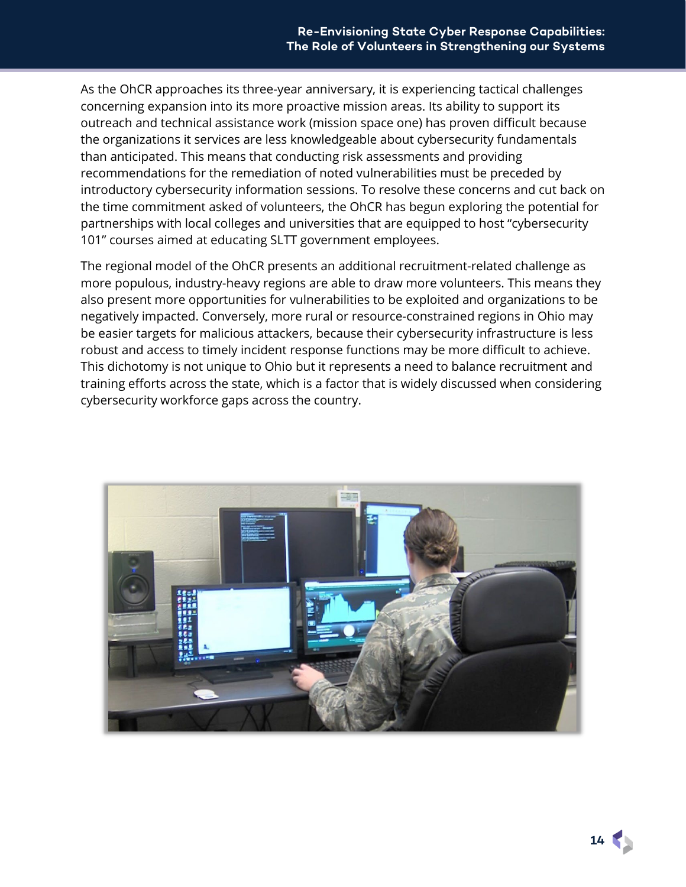As the OhCR approaches its three-year anniversary, it is experiencing tactical challenges concerning expansion into its more proactive mission areas. Its ability to support its outreach and technical assistance work (mission space one) has proven difficult because the organizations it services are less knowledgeable about cybersecurity fundamentals than anticipated. This means that conducting risk assessments and providing recommendations for the remediation of noted vulnerabilities must be preceded by introductory cybersecurity information sessions. To resolve these concerns and cut back on the time commitment asked of volunteers, the OhCR has begun exploring the potential for partnerships with local colleges and universities that are equipped to host "cybersecurity 101" courses aimed at educating SLTT government employees.

The regional model of the OhCR presents an additional recruitment-related challenge as more populous, industry-heavy regions are able to draw more volunteers. This means they also present more opportunities for vulnerabilities to be exploited and organizations to be negatively impacted. Conversely, more rural or resource-constrained regions in Ohio may be easier targets for malicious attackers, because their cybersecurity infrastructure is less robust and access to timely incident response functions may be more difficult to achieve. This dichotomy is not unique to Ohio but it represents a need to balance recruitment and training efforts across the state, which is a factor that is widely discussed when considering cybersecurity workforce gaps across the country.

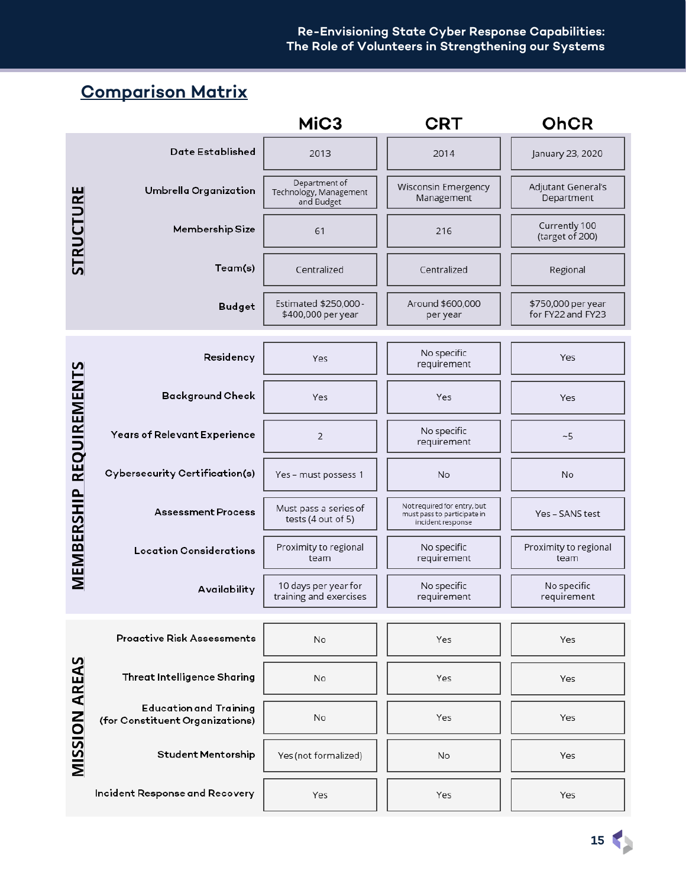#### **Re-Envisioning State Cyber Response Capabilities: The Role of Volunteers in Strengthening our Systems**

# <span id="page-14-0"></span>**Comparison Matrix**

<span id="page-14-1"></span>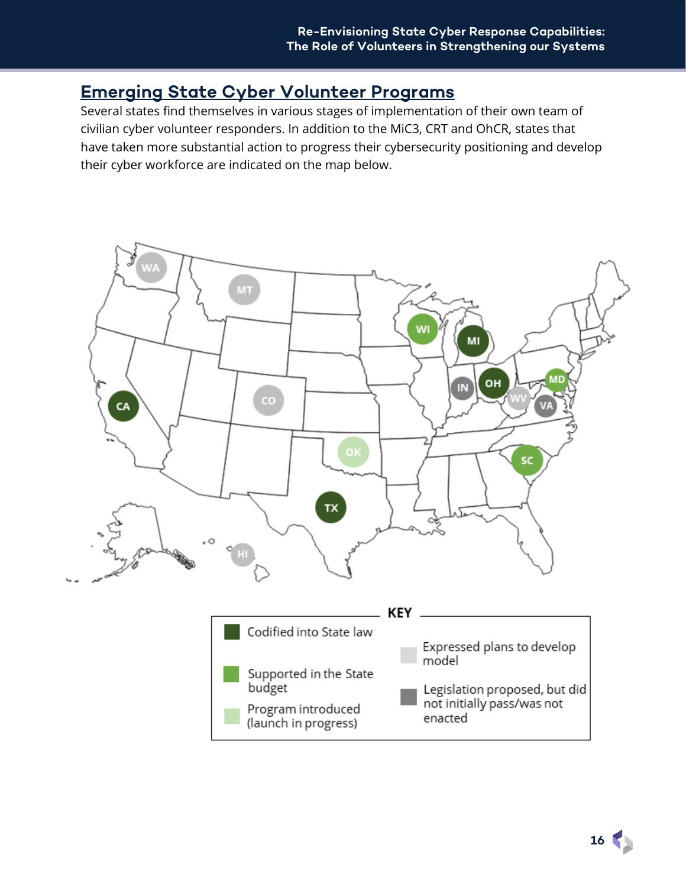### **Emerging State Cyber Volunteer Programs**

Several states find themselves in various stages of implementation of their own team of civilian cyber volunteer responders. In addition to the MiC3, CRT and OhCR, states that have taken more substantial action to progress their cybersecurity positioning and develop their cyber workforce are indicated on the map below.



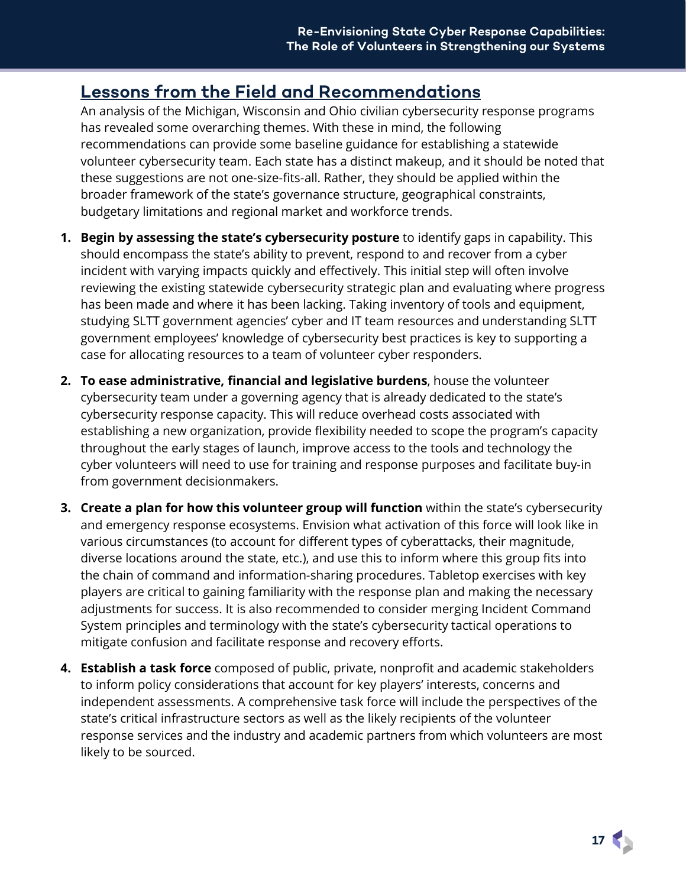## <span id="page-16-0"></span>**Lessons from the Field and Recommendations**

An analysis of the Michigan, Wisconsin and Ohio civilian cybersecurity response programs has revealed some overarching themes. With these in mind, the following recommendations can provide some baseline guidance for establishing a statewide volunteer cybersecurity team. Each state has a distinct makeup, and it should be noted that these suggestions are not one-size-fits-all. Rather, they should be applied within the broader framework of the state's governance structure, geographical constraints, budgetary limitations and regional market and workforce trends.

- **1. Begin by assessing the state's cybersecurity posture** to identify gaps in capability. This should encompass the state's ability to prevent, respond to and recover from a cyber incident with varying impacts quickly and effectively. This initial step will often involve reviewing the existing statewide cybersecurity strategic plan and evaluating where progress has been made and where it has been lacking. Taking inventory of tools and equipment, studying SLTT government agencies' cyber and IT team resources and understanding SLTT government employees' knowledge of cybersecurity best practices is key to supporting a case for allocating resources to a team of volunteer cyber responders.
- **2. To ease administrative, financial and legislative burdens**, house the volunteer cybersecurity team under a governing agency that is already dedicated to the state's cybersecurity response capacity. This will reduce overhead costs associated with establishing a new organization, provide flexibility needed to scope the program's capacity throughout the early stages of launch, improve access to the tools and technology the cyber volunteers will need to use for training and response purposes and facilitate buy-in from government decisionmakers.
- **3. Create a plan for how this volunteer group will function** within the state's cybersecurity and emergency response ecosystems. Envision what activation of this force will look like in various circumstances (to account for different types of cyberattacks, their magnitude, diverse locations around the state, etc.), and use this to inform where this group fits into the chain of command and information-sharing procedures. Tabletop exercises with key players are critical to gaining familiarity with the response plan and making the necessary adjustments for success. It is also recommended to consider merging Incident Command System principles and terminology with the state's cybersecurity tactical operations to mitigate confusion and facilitate response and recovery efforts.
- **4. Establish a task force** composed of public, private, nonprofit and academic stakeholders to inform policy considerations that account for key players' interests, concerns and independent assessments. A comprehensive task force will include the perspectives of the state's critical infrastructure sectors as well as the likely recipients of the volunteer response services and the industry and academic partners from which volunteers are most likely to be sourced.

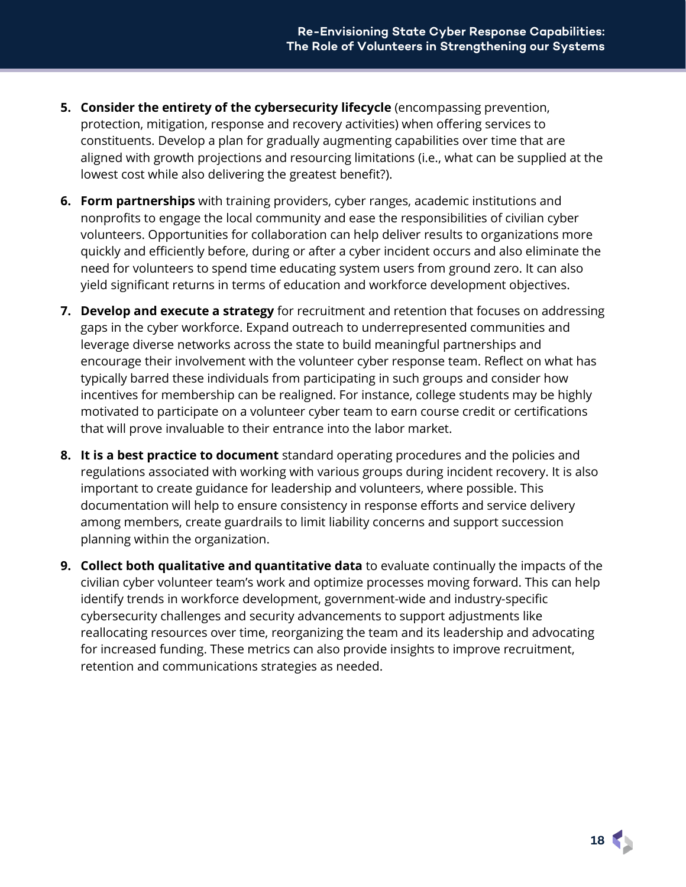- **5. Consider the entirety of the cybersecurity lifecycle** (encompassing prevention, protection, mitigation, response and recovery activities) when offering services to constituents. Develop a plan for gradually augmenting capabilities over time that are aligned with growth projections and resourcing limitations (i.e., what can be supplied at the lowest cost while also delivering the greatest benefit?).
- **6. Form partnerships** with training providers, cyber ranges, academic institutions and nonprofits to engage the local community and ease the responsibilities of civilian cyber volunteers. Opportunities for collaboration can help deliver results to organizations more quickly and efficiently before, during or after a cyber incident occurs and also eliminate the need for volunteers to spend time educating system users from ground zero. It can also yield significant returns in terms of education and workforce development objectives.
- **7. Develop and execute a strategy** for recruitment and retention that focuses on addressing gaps in the cyber workforce. Expand outreach to underrepresented communities and leverage diverse networks across the state to build meaningful partnerships and encourage their involvement with the volunteer cyber response team. Reflect on what has typically barred these individuals from participating in such groups and consider how incentives for membership can be realigned. For instance, college students may be highly motivated to participate on a volunteer cyber team to earn course credit or certifications that will prove invaluable to their entrance into the labor market.
- **8. It is a best practice to document** standard operating procedures and the policies and regulations associated with working with various groups during incident recovery. It is also important to create guidance for leadership and volunteers, where possible. This documentation will help to ensure consistency in response efforts and service delivery among members, create guardrails to limit liability concerns and support succession planning within the organization.
- <span id="page-17-0"></span>**9. Collect both qualitative and quantitative data** to evaluate continually the impacts of the civilian cyber volunteer team's work and optimize processes moving forward. This can help identify trends in workforce development, government-wide and industry-specific cybersecurity challenges and security advancements to support adjustments like reallocating resources over time, reorganizing the team and its leadership and advocating for increased funding. These metrics can also provide insights to improve recruitment, retention and communications strategies as needed.

**18**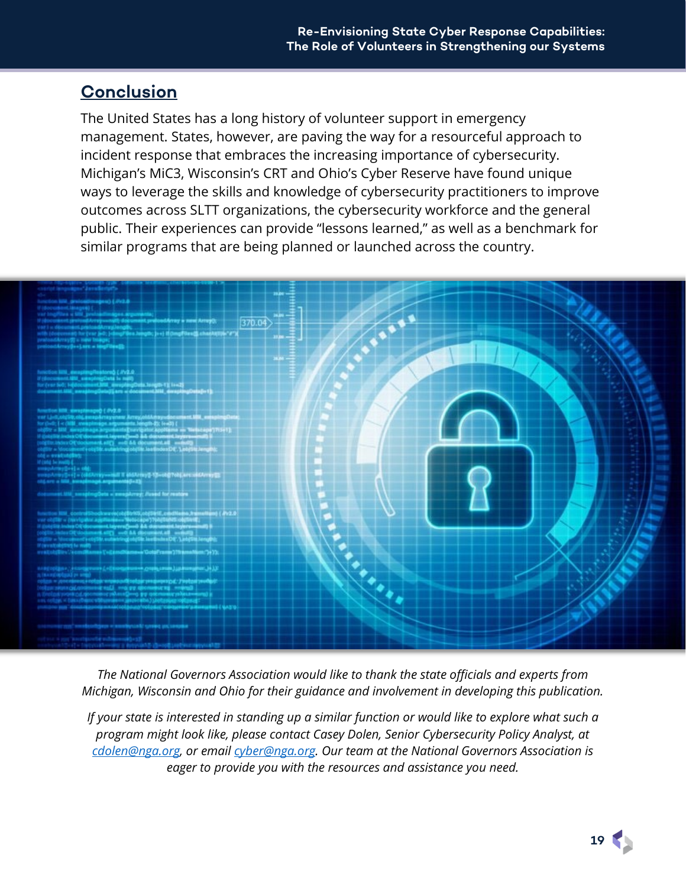## **Conclusion**

The United States has a long history of volunteer support in emergency management. States, however, are paving the way for a resourceful approach to incident response that embraces the increasing importance of cybersecurity. Michigan's MiC3, Wisconsin's CRT and Ohio's Cyber Reserve have found unique ways to leverage the skills and knowledge of cybersecurity practitioners to improve outcomes across SLTT organizations, the cybersecurity workforce and the general public. Their experiences can provide "lessons learned," as well as a benchmark for similar programs that are being planned or launched across the country.



*The National Governors Association would like to thank the state officials and experts from Michigan, Wisconsin and Ohio for their guidance and involvement in developing this publication.*

*If your state is interested in standing up a similar function or would like to explore what such a program might look like, please contact Casey Dolen, Senior Cybersecurity Policy Analyst, at [cdolen@nga.org,](mailto:cdolen@nga.org) or email [cyber@nga.org.](mailto:cyber@nga.org) Our team at the National Governors Association is eager to provide you with the resources and assistance you need.*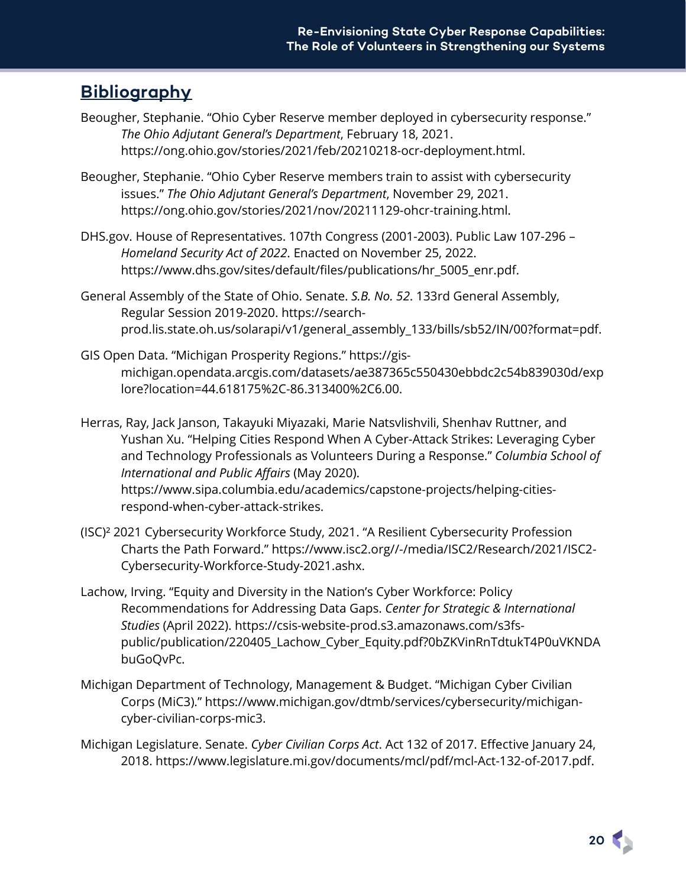### <span id="page-19-0"></span>**Bibliography**

- Beougher, Stephanie. "Ohio Cyber Reserve member deployed in cybersecurity response." *The Ohio Adjutant General's Department*, February 18, 2021. https://ong.ohio.gov/stories/2021/feb/20210218-ocr-deployment.html.
- Beougher, Stephanie. "Ohio Cyber Reserve members train to assist with cybersecurity issues." *The Ohio Adjutant General's Department*, November 29, 2021. https://ong.ohio.gov/stories/2021/nov/20211129-ohcr-training.html.
- DHS.gov. House of Representatives. 107th Congress (2001-2003). Public Law 107-296 *Homeland Security Act of 2022*. Enacted on November 25, 2022. https://www.dhs.gov/sites/default/files/publications/hr\_5005\_enr.pdf.
- General Assembly of the State of Ohio. Senate. *S.B. No. 52*. 133rd General Assembly, Regular Session 2019-2020. https://searchprod.lis.state.oh.us/solarapi/v1/general\_assembly\_133/bills/sb52/IN/00?format=pdf.
- GIS Open Data. "Michigan Prosperity Regions." https://gismichigan.opendata.arcgis.com/datasets/ae387365c550430ebbdc2c54b839030d/exp lore?location=44.618175%2C-86.313400%2C6.00.
- Herras, Ray, Jack Janson, Takayuki Miyazaki, Marie Natsvlishvili, Shenhav Ruttner, and Yushan Xu. "Helping Cities Respond When A Cyber-Attack Strikes: Leveraging Cyber and Technology Professionals as Volunteers During a Response." *Columbia School of International and Public Affairs* (May 2020). https://www.sipa.columbia.edu/academics/capstone-projects/helping-citiesrespond-when-cyber-attack-strikes.
- (ISC)² 2021 Cybersecurity Workforce Study, 2021. "A Resilient Cybersecurity Profession Charts the Path Forward." https://www.isc2.org//-/media/ISC2/Research/2021/ISC2- Cybersecurity-Workforce-Study-2021.ashx.
- Lachow, Irving. "Equity and Diversity in the Nation's Cyber Workforce: Policy Recommendations for Addressing Data Gaps. *Center for Strategic & International Studies* (April 2022). https://csis-website-prod.s3.amazonaws.com/s3fspublic/publication/220405\_Lachow\_Cyber\_Equity.pdf?0bZKVinRnTdtukT4P0uVKNDA buGoQvPc.
- Michigan Department of Technology, Management & Budget. "Michigan Cyber Civilian Corps (MiC3)." https://www.michigan.gov/dtmb/services/cybersecurity/michigancyber-civilian-corps-mic3.
- Michigan Legislature. Senate. *Cyber Civilian Corps Act*. Act 132 of 2017. Effective January 24, 2018. https://www.legislature.mi.gov/documents/mcl/pdf/mcl-Act-132-of-2017.pdf.

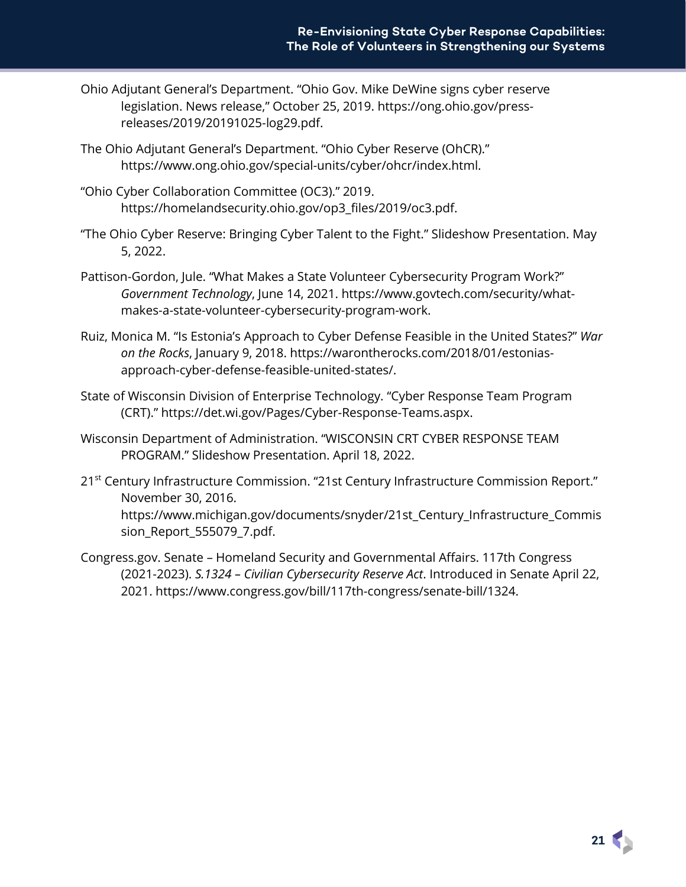- Ohio Adjutant General's Department. "Ohio Gov. Mike DeWine signs cyber reserve legislation. News release," October 25, 2019. https://ong.ohio.gov/pressreleases/2019/20191025-log29.pdf.
- The Ohio Adjutant General's Department. "Ohio Cyber Reserve (OhCR)." https://www.ong.ohio.gov/special-units/cyber/ohcr/index.html.
- "Ohio Cyber Collaboration Committee (OC3)." 2019. https://homelandsecurity.ohio.gov/op3\_files/2019/oc3.pdf.
- "The Ohio Cyber Reserve: Bringing Cyber Talent to the Fight." Slideshow Presentation. May 5, 2022.
- Pattison-Gordon, Jule. "What Makes a State Volunteer Cybersecurity Program Work?" *Government Technology*, June 14, 2021. https://www.govtech.com/security/whatmakes-a-state-volunteer-cybersecurity-program-work.
- Ruiz, Monica M. "Is Estonia's Approach to Cyber Defense Feasible in the United States?" *War on the Rocks*, January 9, 2018. https://warontherocks.com/2018/01/estoniasapproach-cyber-defense-feasible-united-states/.
- State of Wisconsin Division of Enterprise Technology. "Cyber Response Team Program (CRT)." https://det.wi.gov/Pages/Cyber-Response-Teams.aspx.
- Wisconsin Department of Administration. "WISCONSIN CRT CYBER RESPONSE TEAM PROGRAM." Slideshow Presentation. April 18, 2022.
- 21<sup>st</sup> Century Infrastructure Commission. "21st Century Infrastructure Commission Report." November 30, 2016. https://www.michigan.gov/documents/snyder/21st\_Century\_Infrastructure\_Commis sion Report 555079 7.pdf.
- Congress.gov. Senate Homeland Security and Governmental Affairs. 117th Congress (2021-2023). *S.1324 – Civilian Cybersecurity Reserve Act*. Introduced in Senate April 22, 2021. https://www.congress.gov/bill/117th-congress/senate-bill/1324.

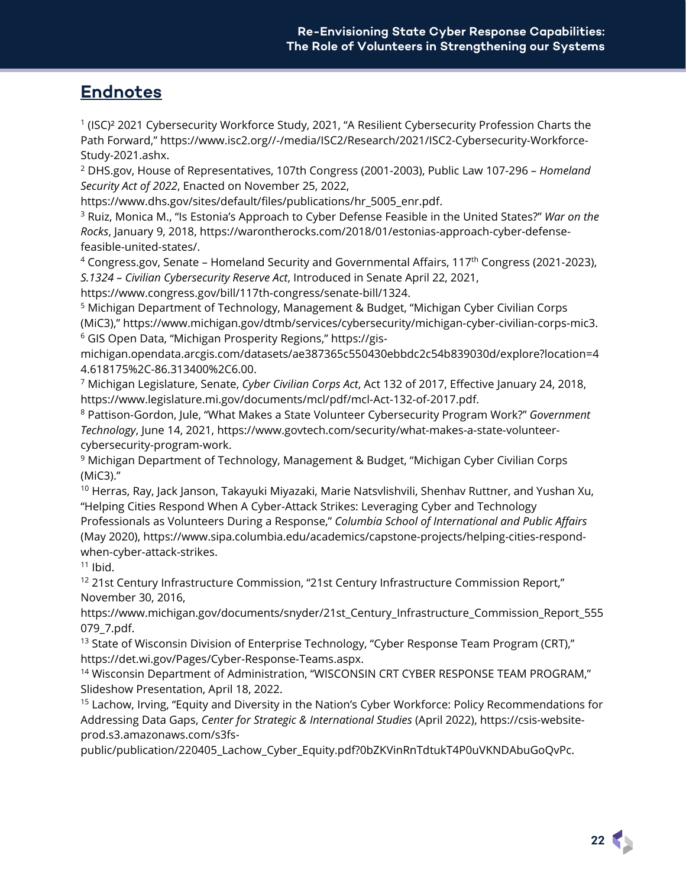## **Endnotes**

<sup>1</sup> (ISC)² 2021 Cybersecurity Workforce Study, 2021, "A Resilient Cybersecurity Profession Charts the Path Forward," https://www.isc2.org//-/media/ISC2/Research/2021/ISC2-Cybersecurity-Workforce-Study-2021.ashx.

<sup>2</sup> DHS.gov, House of Representatives, 107th Congress (2001-2003), Public Law 107-296 – *Homeland Security Act of 2022*, Enacted on November 25, 2022,

https://www.dhs.gov/sites/default/files/publications/hr\_5005\_enr.pdf.

<sup>3</sup> Ruiz, Monica M., "Is Estonia's Approach to Cyber Defense Feasible in the United States?" *War on the Rocks*, January 9, 2018, https://warontherocks.com/2018/01/estonias-approach-cyber-defensefeasible-united-states/.

<sup>4</sup> Congress.gov, Senate – Homeland Security and Governmental Affairs, 117th Congress (2021-2023), *S.1324 – Civilian Cybersecurity Reserve Act*, Introduced in Senate April 22, 2021,

https://www.congress.gov/bill/117th-congress/senate-bill/1324.

<sup>5</sup> Michigan Department of Technology, Management & Budget, "Michigan Cyber Civilian Corps (MiC3)," https://www.michigan.gov/dtmb/services/cybersecurity/michigan-cyber-civilian-corps-mic3. <sup>6</sup> GIS Open Data, "Michigan Prosperity Regions," https://gis-

michigan.opendata.arcgis.com/datasets/ae387365c550430ebbdc2c54b839030d/explore?location=4 4.618175%2C-86.313400%2C6.00.

<sup>7</sup> Michigan Legislature, Senate, *Cyber Civilian Corps Act*, Act 132 of 2017, Effective January 24, 2018, https://www.legislature.mi.gov/documents/mcl/pdf/mcl-Act-132-of-2017.pdf.

<sup>8</sup> Pattison-Gordon, Jule, "What Makes a State Volunteer Cybersecurity Program Work?" *Government Technology*, June 14, 2021, https://www.govtech.com/security/what-makes-a-state-volunteercybersecurity-program-work.

<sup>9</sup> Michigan Department of Technology, Management & Budget, "Michigan Cyber Civilian Corps (MiC3)."

 $^{\rm 10}$  Herras, Ray, Jack Janson, Takayuki Miyazaki, Marie Natsvlishvili, Shenhav Ruttner, and Yushan Xu, "Helping Cities Respond When A Cyber-Attack Strikes: Leveraging Cyber and Technology Professionals as Volunteers During a Response," *Columbia School of International and Public Affairs* (May 2020), https://www.sipa.columbia.edu/academics/capstone-projects/helping-cities-respondwhen-cyber-attack-strikes.

 $11$  Ibid.

<sup>12</sup> 21st Century Infrastructure Commission, "21st Century Infrastructure Commission Report," November 30, 2016,

https://www.michigan.gov/documents/snyder/21st\_Century\_Infrastructure\_Commission\_Report\_555 079\_7.pdf.

<sup>13</sup> State of Wisconsin Division of Enterprise Technology, "Cyber Response Team Program (CRT)," https://det.wi.gov/Pages/Cyber-Response-Teams.aspx.

<sup>14</sup> Wisconsin Department of Administration, "WISCONSIN CRT CYBER RESPONSE TEAM PROGRAM," Slideshow Presentation, April 18, 2022.

<sup>15</sup> Lachow, Irving, "Equity and Diversity in the Nation's Cyber Workforce: Policy Recommendations for Addressing Data Gaps, *Center for Strategic & International Studies* (April 2022), https://csis-websiteprod.s3.amazonaws.com/s3fs-

public/publication/220405\_Lachow\_Cyber\_Equity.pdf?0bZKVinRnTdtukT4P0uVKNDAbuGoQvPc.